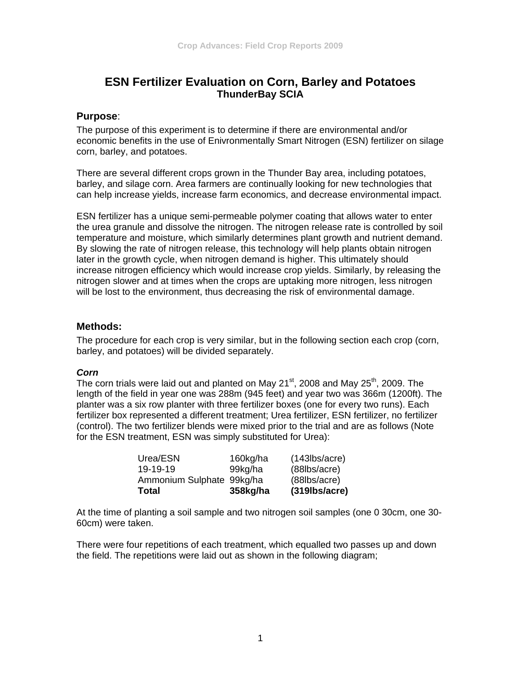# **ESN Fertilizer Evaluation on Corn, Barley and Potatoes ThunderBay SCIA**

# **Purpose**:

The purpose of this experiment is to determine if there are environmental and/or economic benefits in the use of Enivronmentally Smart Nitrogen (ESN) fertilizer on silage corn, barley, and potatoes.

There are several different crops grown in the Thunder Bay area, including potatoes, barley, and silage corn. Area farmers are continually looking for new technologies that can help increase yields, increase farm economics, and decrease environmental impact.

ESN fertilizer has a unique semi-permeable polymer coating that allows water to enter the urea granule and dissolve the nitrogen. The nitrogen release rate is controlled by soil temperature and moisture, which similarly determines plant growth and nutrient demand. By slowing the rate of nitrogen release, this technology will help plants obtain nitrogen later in the growth cycle, when nitrogen demand is higher. This ultimately should increase nitrogen efficiency which would increase crop yields. Similarly, by releasing the nitrogen slower and at times when the crops are uptaking more nitrogen, less nitrogen will be lost to the environment, thus decreasing the risk of environmental damage.

# **Methods:**

The procedure for each crop is very similar, but in the following section each crop (corn, barley, and potatoes) will be divided separately.

#### *Corn*

The corn trials were laid out and planted on May 21 $\mathrm{^{st}}$ , 2008 and May 25 $\mathrm{^{th}}$ , 2009. The length of the field in year one was 288m (945 feet) and year two was 366m (1200ft). The planter was a six row planter with three fertilizer boxes (one for every two runs). Each fertilizer box represented a different treatment; Urea fertilizer, ESN fertilizer, no fertilizer (control). The two fertilizer blends were mixed prior to the trial and are as follows (Note for the ESN treatment, ESN was simply substituted for Urea):

| Total                     | 358kg/ha | $(319$ lbs/acre)   |
|---------------------------|----------|--------------------|
| Ammonium Sulphate 99kg/ha |          | (88lbs/acre)       |
| 19-19-19                  | 99kg/ha  | $(88$ lbs/acre $)$ |
| Urea/ESN                  | 160kg/ha | $(143$ lbs/acre)   |

At the time of planting a soil sample and two nitrogen soil samples (one 0 30cm, one 30- 60cm) were taken.

There were four repetitions of each treatment, which equalled two passes up and down the field. The repetitions were laid out as shown in the following diagram;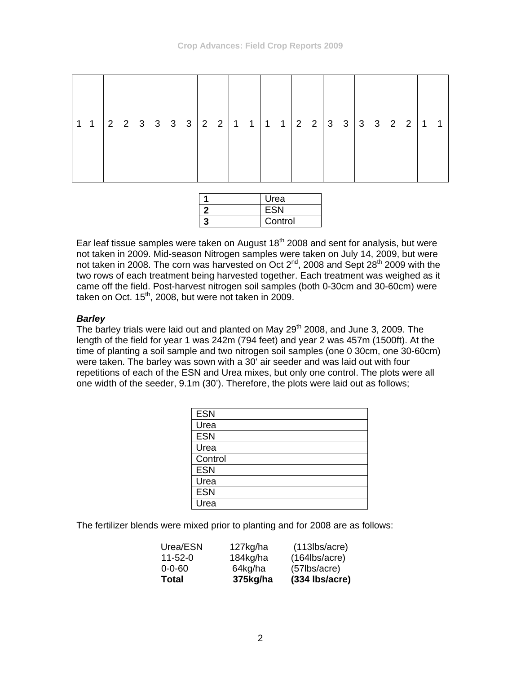| Urea       |
|------------|
| <b>ESN</b> |
| Control    |

Ear leaf tissue samples were taken on August  $18<sup>th</sup>$  2008 and sent for analysis, but were not taken in 2009. Mid-season Nitrogen samples were taken on July 14, 2009, but were not taken in 2008. The corn was harvested on Oct 2<sup>nd</sup>, 2008 and Sept 28<sup>th</sup> 2009 with the two rows of each treatment being harvested together. Each treatment was weighed as it came off the field. Post-harvest nitrogen soil samples (both 0-30cm and 30-60cm) were taken on Oct.  $15<sup>th</sup>$ , 2008, but were not taken in 2009.

# *Barley*

The barley trials were laid out and planted on May 29<sup>th</sup> 2008, and June 3, 2009. The length of the field for year 1 was 242m (794 feet) and year 2 was 457m (1500ft). At the time of planting a soil sample and two nitrogen soil samples (one 0 30cm, one 30-60cm) were taken. The barley was sown with a 30' air seeder and was laid out with four repetitions of each of the ESN and Urea mixes, but only one control. The plots were all one width of the seeder, 9.1m (30'). Therefore, the plots were laid out as follows;

| <b>ESN</b> |
|------------|
| Urea       |
| <b>ESN</b> |
| Urea       |
| Control    |
| <b>ESN</b> |
| Urea       |
| <b>ESN</b> |
| Urea       |

The fertilizer blends were mixed prior to planting and for 2008 are as follows:

| Total         | 375kg/ha | (334 Ibs/acre)     |
|---------------|----------|--------------------|
| $0 - 0 - 60$  | 64kg/ha  | $(57$ lbs/acre $)$ |
| $11 - 52 - 0$ | 184kg/ha | $(164$ lbs/acre)   |
| Urea/ESN      | 127kg/ha | $(113$ lbs/acre)   |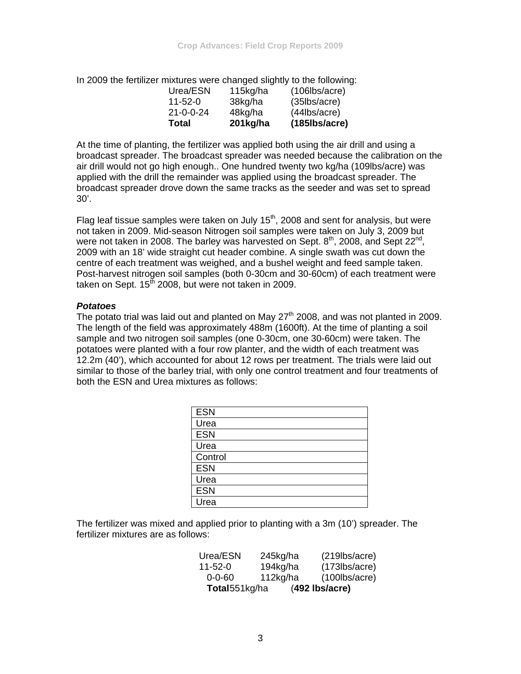In 2009 the fertilizer mixtures were changed slightly to the following:

| Total   |                   | 201kg/ha | $(185)$ lbs/acre)   |
|---------|-------------------|----------|---------------------|
|         | $21 - 0 - 0 - 24$ | 48kg/ha  | $(44$ lbs/acre $)$  |
| 11-52-0 |                   | 38kg/ha  | $(35)$ lbs/acre     |
|         | Urea/ESN          | 115kg/ha | $(106$ lbs/acre $)$ |

At the time of planting, the fertilizer was applied both using the air drill and using a broadcast spreader. The broadcast spreader was needed because the calibration on the air drill would not go high enough.. One hundred twenty two kg/ha (109lbs/acre) was applied with the drill the remainder was applied using the broadcast spreader. The broadcast spreader drove down the same tracks as the seeder and was set to spread 30'.

Flag leaf tissue samples were taken on July  $15<sup>th</sup>$ , 2008 and sent for analysis, but were not taken in 2009. Mid-season Nitrogen soil samples were taken on July 3, 2009 but were not taken in 2008. The barley was harvested on Sept.  $8<sup>th</sup>$ , 2008, and Sept 22<sup>nd</sup>, 2009 with an 18' wide straight cut header combine. A single swath was cut down the centre of each treatment was weighed, and a bushel weight and feed sample taken. Post-harvest nitrogen soil samples (both 0-30cm and 30-60cm) of each treatment were taken on Sept.  $15<sup>th</sup>$  2008, but were not taken in 2009.

#### *Potatoes*

The potato trial was laid out and planted on May  $27<sup>th</sup>$  2008, and was not planted in 2009. The length of the field was approximately 488m (1600ft). At the time of planting a soil sample and two nitrogen soil samples (one 0-30cm, one 30-60cm) were taken. The potatoes were planted with a four row planter, and the width of each treatment was 12.2m (40'), which accounted for about 12 rows per treatment. The trials were laid out similar to those of the barley trial, with only one control treatment and four treatments of both the ESN and Urea mixtures as follows:

| <b>ESN</b> |
|------------|
| Urea       |
| <b>ESN</b> |
| Urea       |
| Control    |
| <b>ESN</b> |
| Urea       |
| <b>ESN</b> |
| Urea       |

The fertilizer was mixed and applied prior to planting with a 3m (10') spreader. The fertilizer mixtures are as follows:

| Total551kg/ha |          | $(492$ lbs/acre) |
|---------------|----------|------------------|
| $0 - 0 - 60$  | 112kg/ha | $(100$ lbs/acre) |
| $11 - 52 - 0$ | 194kg/ha | $(173$ lbs/acre) |
| Urea/ESN      | 245kg/ha | $(219$ lbs/acre) |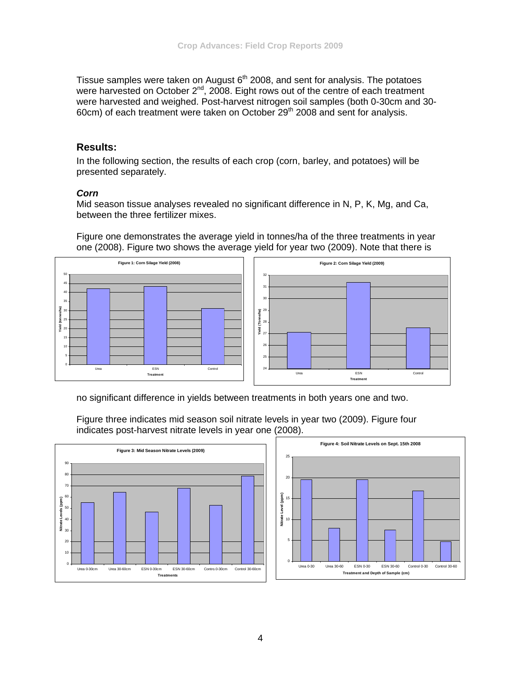Tissue samples were taken on August  $6<sup>th</sup>$  2008, and sent for analysis. The potatoes were harvested on October  $2^{nd}$ , 2008. Eight rows out of the centre of each treatment were harvested and weighed. Post-harvest nitrogen soil samples (both 0-30cm and 30-60cm) of each treatment were taken on October 29<sup>th</sup> 2008 and sent for analysis.

# **Results:**

In the following section, the results of each crop (corn, barley, and potatoes) will be presented separately.

#### *Corn*

Mid season tissue analyses revealed no significant difference in N, P, K, Mg, and Ca, between the three fertilizer mixes.

Figure one demonstrates the average yield in tonnes/ha of the three treatments in year one (2008). Figure two shows the average yield for year two (2009). Note that there is



no significant difference in yields between treatments in both years one and two.

Figure three indicates mid season soil nitrate levels in year two (2009). Figure four indicates post-harvest nitrate levels in year one (2008).



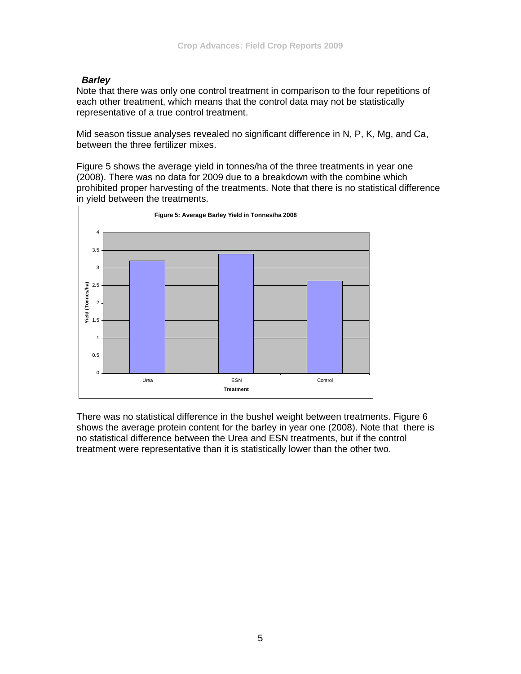# *Barley*

Note that there was only one control treatment in comparison to the four repetitions of each other treatment, which means that the control data may not be statistically representative of a true control treatment.

Mid season tissue analyses revealed no significant difference in N, P, K, Mg, and Ca, between the three fertilizer mixes.

Figure 5 shows the average yield in tonnes/ha of the three treatments in year one (2008). There was no data for 2009 due to a breakdown with the combine which prohibited proper harvesting of the treatments. Note that there is no statistical difference in yield between the treatments.



There was no statistical difference in the bushel weight between treatments. Figure 6 shows the average protein content for the barley in year one (2008). Note that there is no statistical difference between the Urea and ESN treatments, but if the control treatment were representative than it is statistically lower than the other two.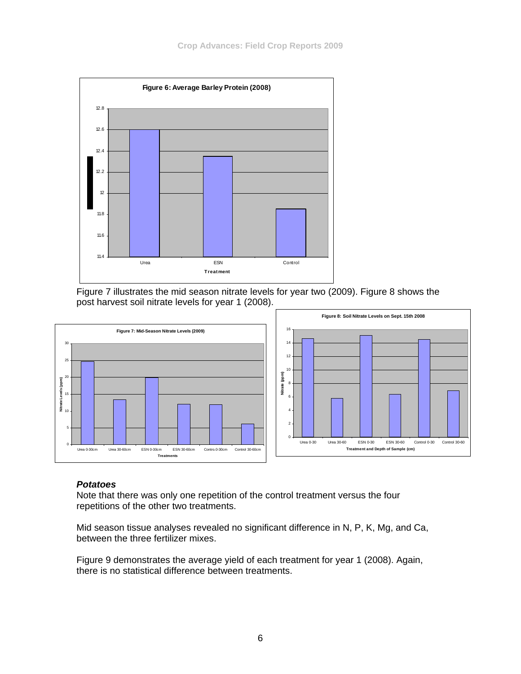

Figure 7 illustrates the mid season nitrate levels for year two (2009). Figure 8 shows the post harvest soil nitrate levels for year 1 (2008).



#### *Potatoes*

Note that there was only one repetition of the control treatment versus the four repetitions of the other two treatments.

Mid season tissue analyses revealed no significant difference in N, P, K, Mg, and Ca, between the three fertilizer mixes.

Figure 9 demonstrates the average yield of each treatment for year 1 (2008). Again, there is no statistical difference between treatments.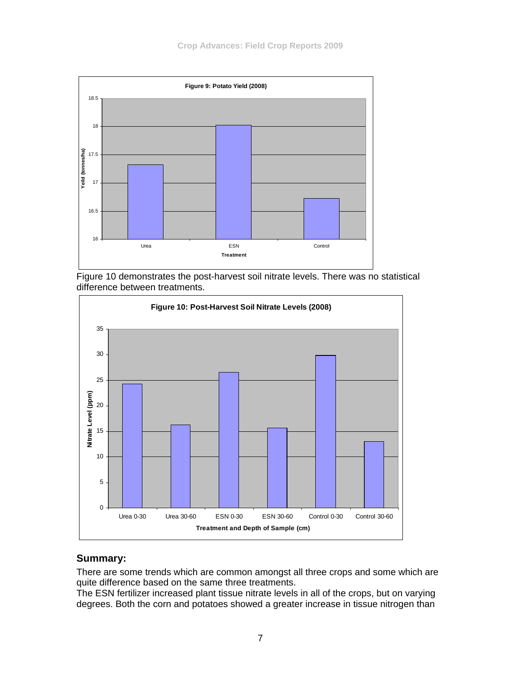

Figure 10 demonstrates the post-harvest soil nitrate levels. There was no statistical difference between treatments.



# **Summary:**

There are some trends which are common amongst all three crops and some which are quite difference based on the same three treatments.

The ESN fertilizer increased plant tissue nitrate levels in all of the crops, but on varying degrees. Both the corn and potatoes showed a greater increase in tissue nitrogen than